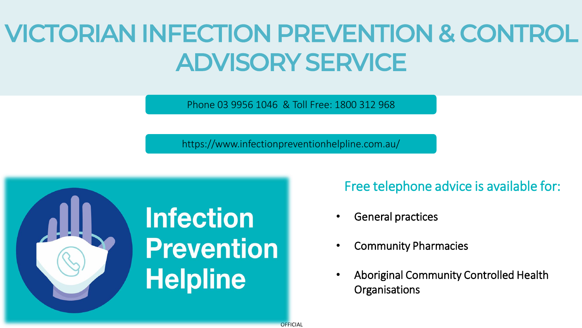### VICTORIAN INFECTION PREVENTION & CONTROL ADVISORY SERVICE

Phone 03 9956 1046 & Toll Free: 1800 312 968

https://www.infectionpreventionhelpline.com.au/



Free telephone advice is available for:

- General practices
- Community Pharmacies
- Aboriginal Community Controlled Health **Organisations**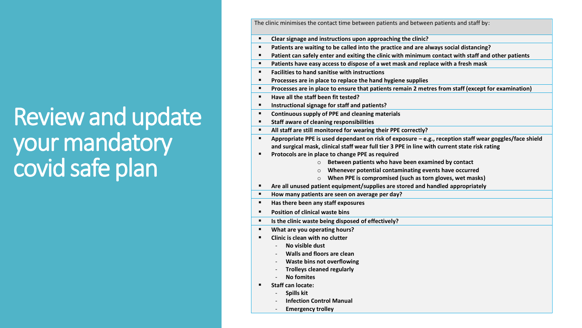### Review and update your mandatory covid safe plan

The clinic minimises the contact time between patients and between patients and staff by:

- **Clear signage and instructions upon approaching the clinic?**
- **Patients are waiting to be called into the practice and are always social distancing?**
- **Patient can safely enter and exiting the clinic with minimum contact with staff and other patients**
- **Patients have easy access to dispose of a wet mask and replace with a fresh mask**
- **Facilities to hand sanitise with instructions**
- **Processes are in place to replace the hand hygiene supplies**
- **Processes are in place to ensure that patients remain 2 metres from staff (except for examination)**
- **Have all the staff been fit tested?**
- **Instructional signage for staff and patients?**
- **Continuous supply of PPE and cleaning materials**
- **Staff aware of cleaning responsibilities**
- **All staff are still monitored for wearing their PPE correctly?**
- **Appropriate PPE is used dependant on risk of exposure – e.g., reception staff wear goggles/face shield and surgical mask, clinical staff wear full tier 3 PPE in line with current state risk rating**
- **Protocols are in place to change PPE as required** 
	- o **Between patients who have been examined by contact**
	- o **Whenever potential contaminating events have occurred**
	- o **When PPE is compromised (such as torn gloves, wet masks)**
- **Are all unused patient equipment/supplies are stored and handled appropriately**
- **How many patients are seen on average per day?**
- **Has there been any staff exposures**
- **Position of clinical waste bins**
- **Is the clinic waste being disposed of effectively?**
- **What are you operating hours?**
- **Clinic is clean with no clutter** 
	- **No visible dust**
	- **Walls and floors are clean**
	- **Waste bins not overflowing**
	- **Trolleys cleaned regularly**
	- **No fomites**
- **Staff can locate:**
	- **Spills kit**
	- **Infection Control Manual**
	- **Emergency trolley**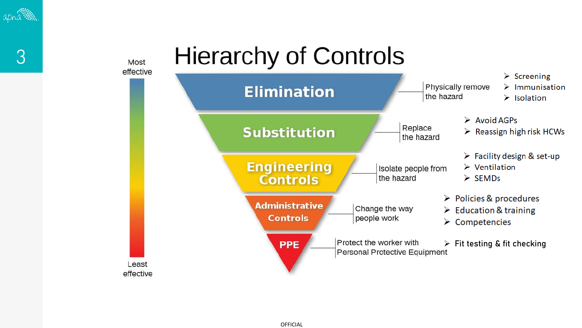

3

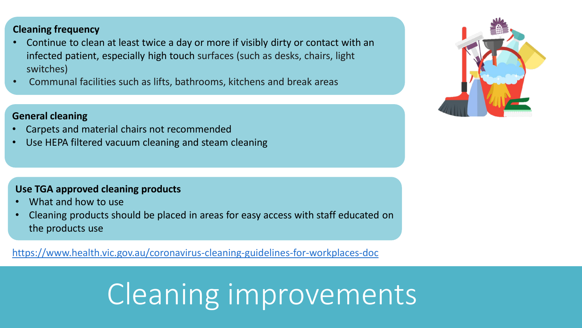**Cleaning frequency** 

- Continue to clean at least twice a day or more if visibly dirty or contact with an infected patient, especially high touch surfaces (such as desks, chairs, light switches)
- Communal facilities such as lifts, bathrooms, kitchens and break areas

#### **General cleaning**

- Carpets and material chairs not recommended
- Use HEPA filtered vacuum cleaning and steam cleaning

#### **Use TGA approved cleaning products**

- What and how to use
- Cleaning products should be placed in areas for easy access with staff educated on the products use

https://www.health.vic.gov.au/coronavirus-cleaning-guidelines-for-workplaces-doc

# Cleaning improvements

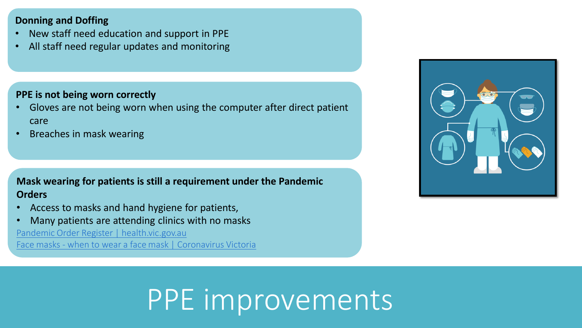### **Donning and Doffing**

- New staff need education and support in PPE
- All staff need regular updates and monitoring

### **PPE is not being worn correctly**

- Gloves are not being worn when using the computer after direct patient care
- Breaches in mask wearing

### **Mask wearing for patients is still a requirement under the Pandemic Orders**

- Access to masks and hand hygiene for patients,
- Many patients are attending clinics with no masks

[Pandemic Order Register | health.vic.gov.au](https://www.health.vic.gov.au/covid-19/pandemic-order-register)

Face masks - [when to wear a face mask | Coronavirus Victoria](https://www.coronavirus.vic.gov.au/face-masks-when-wear-face-mask)



# PPE improvements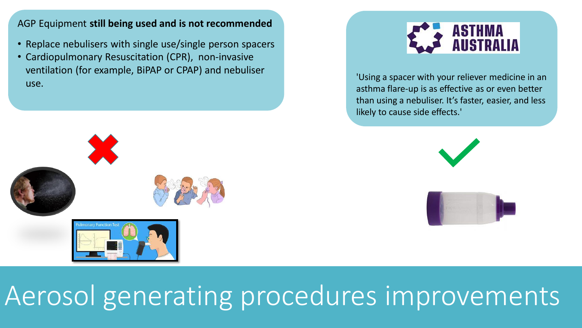#### AGP Equipment **still being used and is not recommended**

- Replace nebulisers with single use/single person spacers
- Cardiopulmonary Resuscitation (CPR), non-invasive ventilation (for example, BiPAP or CPAP) and nebuliser use.



'Using a spacer with your reliever medicine in an asthma flare-up is as effective as or even better than using a nebuliser. It's faster, easier, and less likely to cause side effects.'





## Aerosol generating procedures improvements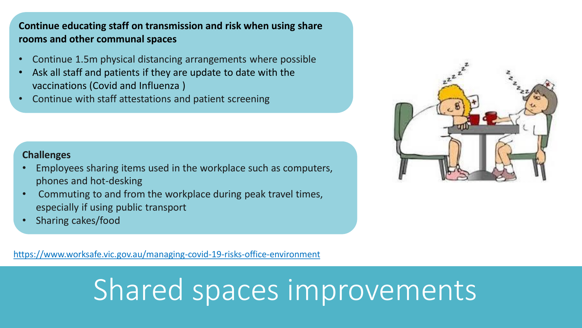### **Continue educating staff on transmission and risk when using share rooms and other communal spaces**

- Continue 1.5m physical distancing arrangements where possible
- Ask all staff and patients if they are update to date with the vaccinations (Covid and Influenza )
- Continue with staff attestations and patient screening

### **Challenges**

- Employees sharing items used in the workplace such as computers, phones and hot-desking
- Commuting to and from the workplace during peak travel times, especially if using public transport
- Sharing cakes/food

https://www.worksafe.vic.gov.au/managing-covid-19-risks-office-environment

# Shared spaces improvements